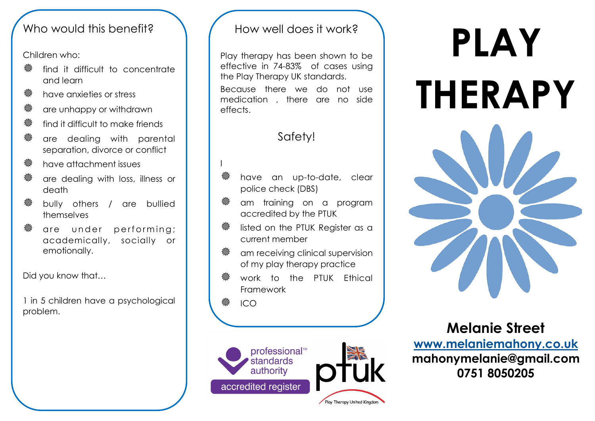### Who would this benefit?

Children who:

- **※** find it difficult to concentrate and learn
- **« have anxieties or stress**
- **※ are unhappy or withdrawn**
- **« find it difficult to make friends**
- are dealing with parental separation, divorce or conflict
- **※ have attachment issues**
- **※** are dealing with loss, illness or death
- **※ bully others / are bullied** themselves
- <sup>«</sup> are under performing; academically, socially or emotionally.

Did you know that…

1 in 5 children have a psychological problem.

### How well does it work?

Play therapy has been shown to be effective in 74-83% of cases using the Play Therapy UK standards. Because there we do not use medication , there are no side effects.

# Safety!

- have an up-to-date, clear police check (DBS)
- am training on a program accredited by the PTUK
- listed on the PTUK Register as a current member
- **※ cm receiving clinical supervision** of my play therapy practice
- work to the PTUK Ethical Framework

ICO

I



# **PLAY THERAPY**



**Melanie Street [www.melaniemahony.co.uk](http://www.melaniemahony.co.uk) mahonymelanie@gmail.com 0751 8050205**